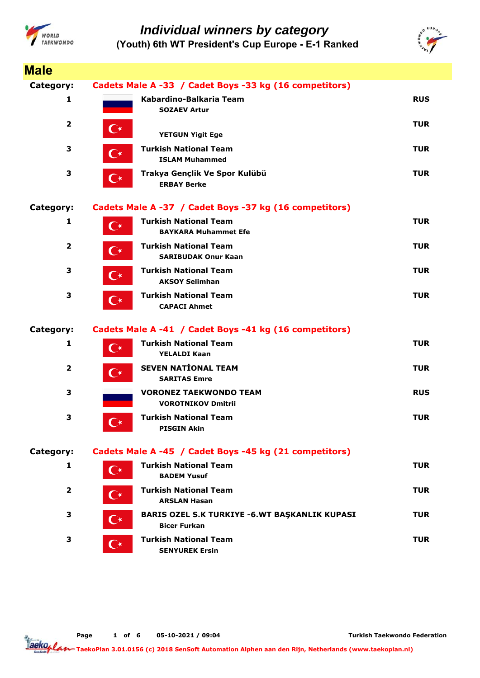



| <b>Male</b>             |                                                                                     |            |
|-------------------------|-------------------------------------------------------------------------------------|------------|
| Category:               | Cadets Male A -33 / Cadet Boys -33 kg (16 competitors)                              |            |
| 1                       | Kabardino-Balkaria Team<br><b>SOZAEV Artur</b>                                      | <b>RUS</b> |
| $\overline{\mathbf{2}}$ | C∗<br><b>YETGUN Yigit Ege</b>                                                       | <b>TUR</b> |
| 3                       | <b>Turkish National Team</b><br>C∗<br><b>ISLAM Muhammed</b>                         | <b>TUR</b> |
| 3                       | Trakya Gençlik Ve Spor Kulübü<br>$\mathbb{C}^*$<br><b>ERBAY Berke</b>               | <b>TUR</b> |
| Category:               | Cadets Male A -37 / Cadet Boys -37 kg (16 competitors)                              |            |
| 1                       | <b>Turkish National Team</b><br>$\mathbf{C}^{\star}$<br><b>BAYKARA Muhammet Efe</b> | <b>TUR</b> |
| $\overline{\mathbf{2}}$ | <b>Turkish National Team</b><br>$\mathbf{C}^{\star}$<br><b>SARIBUDAK Onur Kaan</b>  | <b>TUR</b> |
| 3                       | <b>Turkish National Team</b><br>$\mathbf{C}^{\star}$<br><b>AKSOY Selimhan</b>       | <b>TUR</b> |
| 3                       | <b>Turkish National Team</b><br>$\mathbf{C}^{\star}$<br><b>CAPACI Ahmet</b>         | <b>TUR</b> |
| Category:               | Cadets Male A -41 / Cadet Boys -41 kg (16 competitors)                              |            |
| $\mathbf{1}$            | <b>Turkish National Team</b><br>$\mathbf{C}^{\star}$<br><b>YELALDI Kaan</b>         | <b>TUR</b> |
| $\mathbf{2}$            | <b>SEVEN NATIONAL TEAM</b><br>$\mathbf{C}^{\star}$<br><b>SARITAS Emre</b>           | <b>TUR</b> |
| 3                       | <b>VORONEZ TAEKWONDO TEAM</b><br><b>VOROTNIKOV Dmitrii</b>                          | <b>RUS</b> |
| 3                       | <b>Turkish National Team</b><br><b>PISGIN Akin</b>                                  | <b>TUR</b> |
| Category:               | Cadets Male A -45 / Cadet Boys -45 kg (21 competitors)                              |            |
| 1                       | <b>Turkish National Team</b><br>$\mathsf{C}^\star$<br><b>BADEM Yusuf</b>            | <b>TUR</b> |
| $\overline{2}$          | <b>Turkish National Team</b><br>$\mathbf{C}^{\star}$<br><b>ARSLAN Hasan</b>         | <b>TUR</b> |
| 3                       | <b>BARIS OZEL S.K TURKIYE -6.WT BAŞKANLIK KUPASI</b><br>(*<br><b>Bicer Furkan</b>   | <b>TUR</b> |
| 3                       | <b>Turkish National Team</b><br>( ∗<br><b>SENYUREK Ersin</b>                        | <b>TUR</b> |

**Page o 1 f 6 05-10-2021 / 09:04**

**Turkish Taekwondo Federation**

aeko<sub>plar</sub> **TaekoPlan 3.01.0156 (c) 2018 SenSoft Automation Alphen aan den Rijn, Netherlands (www.taekoplan.nl)**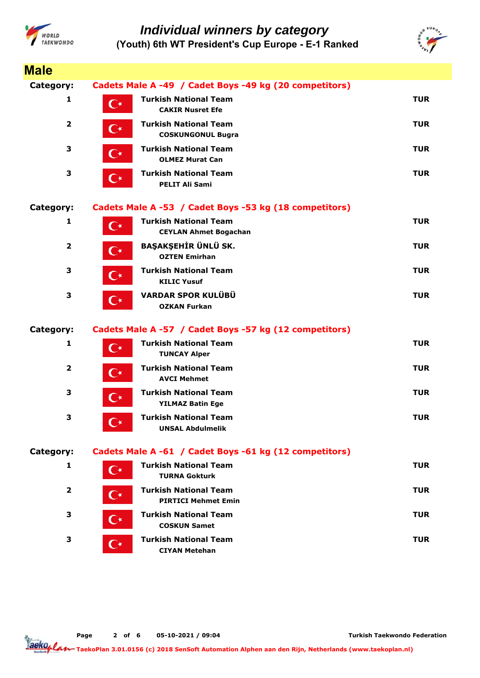



| <b>Male</b>    |                      |                                                              |            |
|----------------|----------------------|--------------------------------------------------------------|------------|
| Category:      |                      | Cadets Male A -49 / Cadet Boys -49 kg (20 competitors)       |            |
| 1              | $\mathbf{C}^{\star}$ | <b>Turkish National Team</b><br><b>CAKIR Nusret Efe</b>      | <b>TUR</b> |
| $\mathbf{2}$   | $\mathbf{C}^{\star}$ | <b>Turkish National Team</b><br><b>COSKUNGONUL Bugra</b>     | <b>TUR</b> |
| 3              | $\mathbf{C}^\star$   | <b>Turkish National Team</b><br><b>OLMEZ Murat Can</b>       | <b>TUR</b> |
| 3              | $\mathbf{C}^{\star}$ | <b>Turkish National Team</b><br><b>PELIT Ali Sami</b>        | <b>TUR</b> |
| Category:      |                      | Cadets Male A -53 / Cadet Boys -53 kg (18 competitors)       |            |
| 1              | $\mathbf{C}^{\star}$ | <b>Turkish National Team</b><br><b>CEYLAN Ahmet Bogachan</b> | <b>TUR</b> |
| $\overline{2}$ | $\mathbf{C}^{\star}$ | BAŞAKŞEHİR ÜNLÜ SK.<br><b>OZTEN Emirhan</b>                  | <b>TUR</b> |
| 3              | $\mathbf{C}^{\star}$ | <b>Turkish National Team</b><br><b>KILIC Yusuf</b>           | <b>TUR</b> |
| 3              | $\mathbf{C}^{\star}$ | <b>VARDAR SPOR KULÜBÜ</b><br><b>OZKAN Furkan</b>             | <b>TUR</b> |
| Category:      |                      | Cadets Male A -57 / Cadet Boys -57 kg (12 competitors)       |            |
| 1              | $\mathbf{C}^{\star}$ | <b>Turkish National Team</b><br><b>TUNCAY Alper</b>          | <b>TUR</b> |
| $\mathbf{2}$   | $\mathbf{C}^{\star}$ | <b>Turkish National Team</b><br><b>AVCI Mehmet</b>           | <b>TUR</b> |
| 3              | $\mathbf{C}^{\star}$ | <b>Turkish National Team</b><br><b>YILMAZ Batin Ege</b>      | <b>TUR</b> |
| 3              |                      | <b>Turkish National Team</b><br><b>UNSAL Abdulmelik</b>      | <b>TUR</b> |
| Category:      |                      | Cadets Male A -61 / Cadet Boys -61 kg (12 competitors)       |            |
| 1              | $\mathbf{C}^{\star}$ | <b>Turkish National Team</b><br><b>TURNA Gokturk</b>         | <b>TUR</b> |
| $\overline{2}$ | $\mathsf{C}^{\star}$ | <b>Turkish National Team</b><br><b>PIRTICI Mehmet Emin</b>   | <b>TUR</b> |
| 3              | C∗                   | <b>Turkish National Team</b><br><b>COSKUN Samet</b>          | <b>TUR</b> |
| 3              | ⊂∗                   | <b>Turkish National Team</b><br><b>CIYAN Metehan</b>         | <b>TUR</b> |

**Page o 2 f 6 05-10-2021 / 09:04**

**Turkish Taekwondo Federation**

aeko<sub>plar</sub> **TaekoPlan 3.01.0156 (c) 2018 SenSoft Automation Alphen aan den Rijn, Netherlands (www.taekoplan.nl)**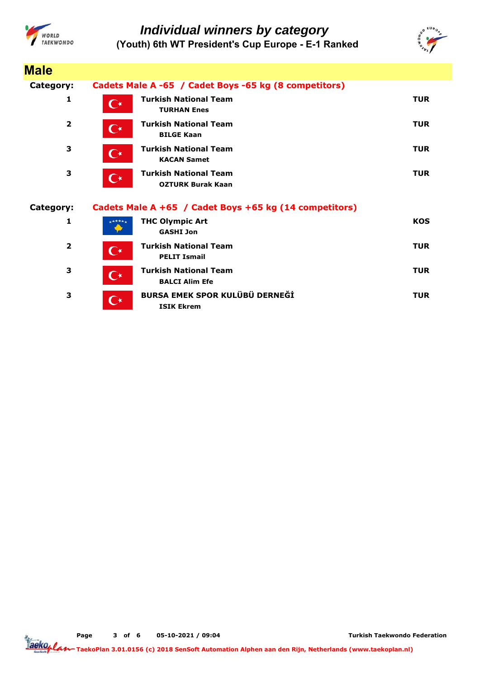



| <b>Male</b>             |                      |                                                          |            |
|-------------------------|----------------------|----------------------------------------------------------|------------|
| Category:               |                      | Cadets Male A -65 / Cadet Boys -65 kg (8 competitors)    |            |
| 1                       | $\mathsf{C}^\star$   | <b>Turkish National Team</b><br><b>TURHAN Enes</b>       | <b>TUR</b> |
| $\overline{2}$          | $\mathbf{C}^*$       | <b>Turkish National Team</b><br><b>BILGE Kaan</b>        | <b>TUR</b> |
| 3                       | $\mathbf{C}^*$       | <b>Turkish National Team</b><br><b>KACAN Samet</b>       | <b>TUR</b> |
| 3                       | $\mathbf{C}^{\star}$ | <b>Turkish National Team</b><br><b>OZTURK Burak Kaan</b> | <b>TUR</b> |
| Category:               |                      | Cadets Male A +65 / Cadet Boys +65 kg (14 competitors)   |            |
| 1                       | $+ + + + +$          | <b>THC Olympic Art</b><br><b>GASHI Jon</b>               | <b>KOS</b> |
| $\overline{\mathbf{2}}$ | $\mathbf{C}^\star$   | <b>Turkish National Team</b><br><b>PELIT Ismail</b>      | <b>TUR</b> |
| 3                       |                      | <b>Turkish National Team</b>                             | <b>TUR</b> |
|                         | $\mathbf{C}^*$       | <b>BALCI Alim Efe</b>                                    |            |

**Page o 3 f 6 05-10-2021 / 09:04**

**Turkish Taekwondo Federation**

Tackoplan **TaekoPlan 3.01.0156 (c) 2018 SenSoft Automation Alphen aan den Rijn, Netherlands (www.taekoplan.nl)**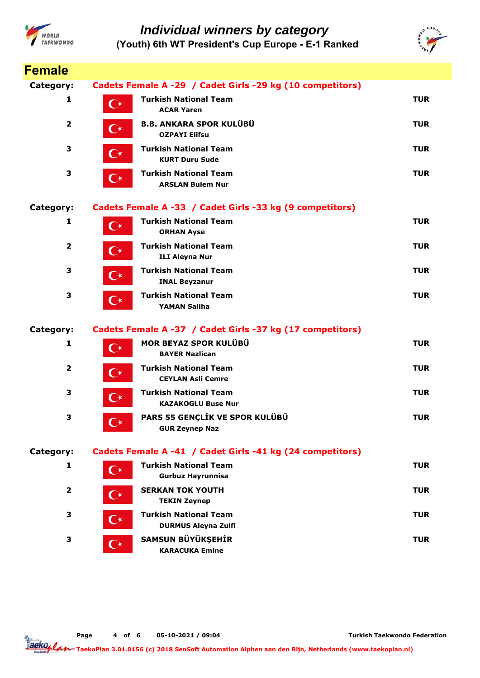



| <b>Female</b>           |                      |                                                            |            |
|-------------------------|----------------------|------------------------------------------------------------|------------|
| Category:               |                      | Cadets Female A -29 / Cadet Girls -29 kg (10 competitors)  |            |
| 1                       | $\mathbf{C}^\star$   | <b>Turkish National Team</b><br><b>ACAR Yaren</b>          | <b>TUR</b> |
| $\overline{2}$          | $\mathbf{C}^{\star}$ | <b>B.B. ANKARA SPOR KULÜBÜ</b><br><b>OZPAYI Elifsu</b>     | <b>TUR</b> |
| 3                       | $\mathbf{C}^{\star}$ | <b>Turkish National Team</b><br><b>KURT Duru Sude</b>      | <b>TUR</b> |
| 3                       | $\mathbf{C}^*$       | <b>Turkish National Team</b><br><b>ARSLAN Bulem Nur</b>    | <b>TUR</b> |
| <b>Category:</b>        |                      | Cadets Female A -33 / Cadet Girls -33 kg (9 competitors)   |            |
| 1                       | $\mathbf{C}^{\star}$ | <b>Turkish National Team</b><br><b>ORHAN Ayse</b>          | <b>TUR</b> |
| $\overline{\mathbf{2}}$ | $\mathbf{C}^{\star}$ | <b>Turkish National Team</b><br><b>ILI Aleyna Nur</b>      | <b>TUR</b> |
| 3                       | $\mathbf{C}^{\star}$ | <b>Turkish National Team</b><br><b>INAL Beyzanur</b>       | <b>TUR</b> |
| 3                       | $\mathbf{C}^{\star}$ | <b>Turkish National Team</b><br><b>YAMAN Saliha</b>        | <b>TUR</b> |
| Category:               |                      | Cadets Female A -37 / Cadet Girls -37 kg (17 competitors)  |            |
| $\mathbf{1}$            | $\mathbf{C}^{\star}$ | MOR BEYAZ SPOR KULÜBÜ<br><b>BAYER Nazlican</b>             | <b>TUR</b> |
| 2                       | $\mathbf{C}^{\star}$ | <b>Turkish National Team</b><br><b>CEYLAN Asli Cemre</b>   | <b>TUR</b> |
| 3                       | $\mathbf{C}^{\star}$ | <b>Turkish National Team</b><br><b>KAZAKOGLU Buse Nur</b>  | <b>TUR</b> |
| з                       | $\mathbf{C}^\star$   | PARS 55 GENÇLİK VE SPOR KULÜBÜ<br><b>GUR Zeynep Naz</b>    | <b>TUR</b> |
| Category:               |                      | Cadets Female A -41 / Cadet Girls -41 kg (24 competitors)  |            |
| 1                       | $\mathbf{C}^*$       | <b>Turkish National Team</b><br><b>Gurbuz Hayrunnisa</b>   | <b>TUR</b> |
| 2                       | $\mathbf{C}^{\star}$ | <b>SERKAN TOK YOUTH</b><br><b>TEKIN Zeynep</b>             | <b>TUR</b> |
| З                       | $\mathbf{C}^\star$   | <b>Turkish National Team</b><br><b>DURMUS Aleyna Zulfi</b> | <b>TUR</b> |
| 3                       | $\mathbf{C}^{\star}$ | SAMSUN BÜYÜKŞEHİR<br><b>KARACUKA Emine</b>                 | <b>TUR</b> |

**Page o 4 f 6 05-10-2021 / 09:04**

**Turkish Taekwondo Federation**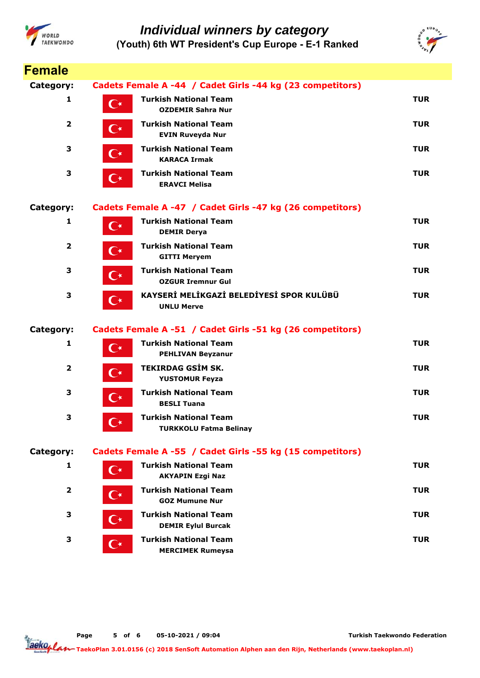



| <b>Female</b>    |                      |                                                               |            |
|------------------|----------------------|---------------------------------------------------------------|------------|
| Category:        |                      | Cadets Female A -44 / Cadet Girls -44 kg (23 competitors)     |            |
| 1                | $\overline{C^*}$     | <b>Turkish National Team</b><br><b>OZDEMIR Sahra Nur</b>      | <b>TUR</b> |
| $\overline{2}$   | $\mathsf{C}^\star$   | <b>Turkish National Team</b><br><b>EVIN Ruveyda Nur</b>       | <b>TUR</b> |
| 3                | $\mathbf{C}^{\star}$ | <b>Turkish National Team</b><br><b>KARACA Irmak</b>           | <b>TUR</b> |
| 3                | $\mathbf{C}^{\star}$ | <b>Turkish National Team</b><br><b>ERAVCI Melisa</b>          | <b>TUR</b> |
| <b>Category:</b> |                      | Cadets Female A -47 / Cadet Girls -47 kg (26 competitors)     |            |
| 1                | $\mathbf{C}^\star$   | <b>Turkish National Team</b><br><b>DEMIR Derya</b>            | <b>TUR</b> |
| $\overline{2}$   | $\mathbf{C}^{\star}$ | <b>Turkish National Team</b><br><b>GITTI Meryem</b>           | <b>TUR</b> |
| 3                | $\mathbf{C}^{\star}$ | <b>Turkish National Team</b><br><b>OZGUR Iremnur Gul</b>      | <b>TUR</b> |
| 3                | $\mathbf{C}^{\star}$ | KAYSERİ MELİKGAZİ BELEDİYESİ SPOR KULÜBÜ<br><b>UNLU Merve</b> | <b>TUR</b> |
| <b>Category:</b> |                      | Cadets Female A -51 / Cadet Girls -51 kg (26 competitors)     |            |
| 1                | $\mathbf{C}^{\star}$ | <b>Turkish National Team</b><br><b>PEHLIVAN Beyzanur</b>      | <b>TUR</b> |
| 2                | $\mathbf{C}^{\star}$ | <b>TEKIRDAG GSİM SK.</b><br><b>YUSTOMUR Feyza</b>             | <b>TUR</b> |
| 3                | $\mathbf{C}^{\star}$ | <b>Turkish National Team</b><br><b>BESLI Tuana</b>            | <b>TUR</b> |
| 3                |                      | <b>Turkish National Team</b><br><b>TURKKOLU Fatma Belinay</b> | <b>TUR</b> |
| Category:        |                      | Cadets Female A -55 / Cadet Girls -55 kg (15 competitors)     |            |
| 1                | $\mathbf{C}^{\star}$ | <b>Turkish National Team</b><br><b>AKYAPIN Ezgi Naz</b>       | <b>TUR</b> |
| 2                | $\mathbf{C}^{\star}$ | <b>Turkish National Team</b><br><b>GOZ Mumune Nur</b>         | <b>TUR</b> |
| 3                | $\mathbf{C}^{\star}$ | <b>Turkish National Team</b><br><b>DEMIR Eylul Burcak</b>     | <b>TUR</b> |
| 3                | $\mathbf{C}^{\star}$ | <b>Turkish National Team</b><br><b>MERCIMEK Rumeysa</b>       | <b>TUR</b> |

**Page o 5 f 6 05-10-2021 / 09:04**

**Turkish Taekwondo Federation**

aeko<sub>plar</sub> **TaekoPlan 3.01.0156 (c) 2018 SenSoft Automation Alphen aan den Rijn, Netherlands (www.taekoplan.nl)**